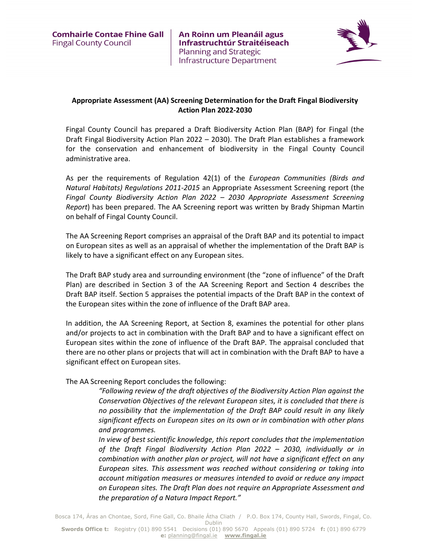An Roinn um Pleanáil agus Infrastruchtúr Straitéiseach **Planning and Strategic** Infrastructure Department



## Appropriate Assessment (AA) Screening Determination for the Draft Fingal Biodiversity Action Plan 2022-2030

Fingal County Council has prepared a Draft Biodiversity Action Plan (BAP) for Fingal (the Draft Fingal Biodiversity Action Plan 2022 – 2030). The Draft Plan establishes a framework for the conservation and enhancement of biodiversity in the Fingal County Council administrative area.

As per the requirements of Regulation 42(1) of the European Communities (Birds and Natural Habitats) Regulations 2011-2015 an Appropriate Assessment Screening report (the Fingal County Biodiversity Action Plan 2022 – 2030 Appropriate Assessment Screening Report) has been prepared. The AA Screening report was written by Brady Shipman Martin on behalf of Fingal County Council.

The AA Screening Report comprises an appraisal of the Draft BAP and its potential to impact on European sites as well as an appraisal of whether the implementation of the Draft BAP is likely to have a significant effect on any European sites.

The Draft BAP study area and surrounding environment (the "zone of influence" of the Draft Plan) are described in Section 3 of the AA Screening Report and Section 4 describes the Draft BAP itself. Section 5 appraises the potential impacts of the Draft BAP in the context of the European sites within the zone of influence of the Draft BAP area.

In addition, the AA Screening Report, at Section 8, examines the potential for other plans and/or projects to act in combination with the Draft BAP and to have a significant effect on European sites within the zone of influence of the Draft BAP. The appraisal concluded that there are no other plans or projects that will act in combination with the Draft BAP to have a significant effect on European sites.

## The AA Screening Report concludes the following:

"Following review of the draft objectives of the Biodiversity Action Plan against the Conservation Objectives of the relevant European sites, it is concluded that there is no possibility that the implementation of the Draft BAP could result in any likely significant effects on European sites on its own or in combination with other plans and programmes.

In view of best scientific knowledge, this report concludes that the implementation of the Draft Fingal Biodiversity Action Plan 2022 – 2030, individually or in combination with another plan or project, will not have a significant effect on any European sites. This assessment was reached without considering or taking into account mitigation measures or measures intended to avoid or reduce any impact on European sites. The Draft Plan does not require an Appropriate Assessment and the preparation of a Natura Impact Report."

Bosca 174, Áras an Chontae, Sord, Fine Gall, Co. Bhaile Átha Cliath / P.O. Box 174, County Hall, Swords, Fingal, Co. Dublin Swords Office t: Registry (01) 890 5541 Decisions (01) 890 5670 Appeals (01) 890 5724 f: (01) 890 6779 e: planning@fingal.ie www.fingal.ie